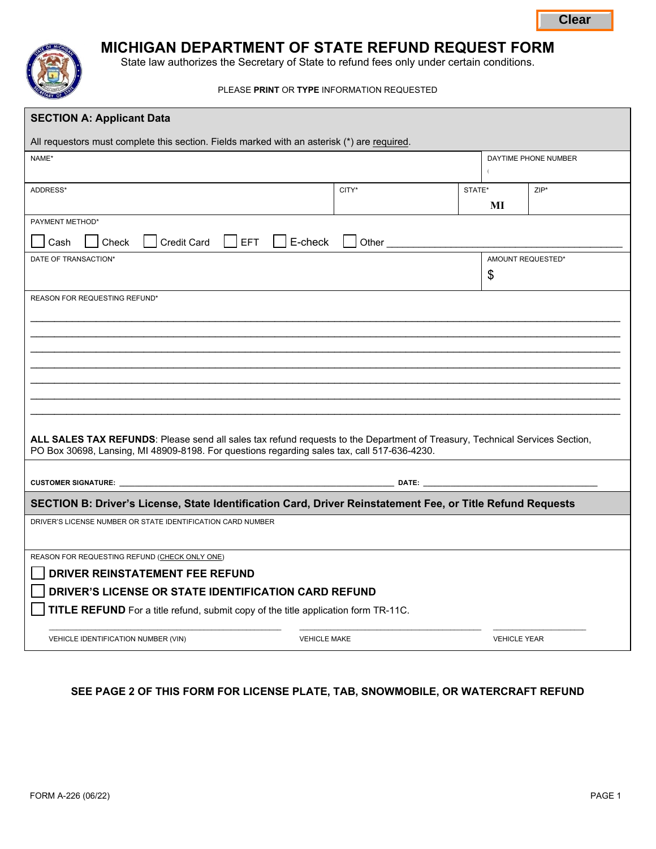

# **MICHIGAN DEPARTMENT OF STATE REFUND REQUEST FORM**

|                                                                                                                                                                                                                            |                                                                                             |        |                         | <b>Clear</b> |  |  |
|----------------------------------------------------------------------------------------------------------------------------------------------------------------------------------------------------------------------------|---------------------------------------------------------------------------------------------|--------|-------------------------|--------------|--|--|
| <b>MICHIGAN DEPARTMENT OF STATE REFUND REQUEST FORM</b><br>State law authorizes the Secretary of State to refund fees only under certain conditions.                                                                       |                                                                                             |        |                         |              |  |  |
| PLEASE PRINT OR TYPE INFORMATION REQUESTED                                                                                                                                                                                 |                                                                                             |        |                         |              |  |  |
| <b>SECTION A: Applicant Data</b>                                                                                                                                                                                           |                                                                                             |        |                         |              |  |  |
|                                                                                                                                                                                                                            | All requestors must complete this section. Fields marked with an asterisk (*) are required. |        |                         |              |  |  |
| NAME*                                                                                                                                                                                                                      |                                                                                             |        | DAYTIME PHONE NUMBER    |              |  |  |
| ADDRESS*                                                                                                                                                                                                                   | CITY*                                                                                       | STATE* | MI                      | $ZIP^*$      |  |  |
| PAYMENT METHOD*                                                                                                                                                                                                            |                                                                                             |        |                         |              |  |  |
| <b>Credit Card</b><br>E-check<br>Check<br><b>EFT</b><br>Cash<br>Other <sub>_____</sub>                                                                                                                                     |                                                                                             |        |                         |              |  |  |
| DATE OF TRANSACTION*                                                                                                                                                                                                       |                                                                                             |        | AMOUNT REQUESTED*<br>\$ |              |  |  |
|                                                                                                                                                                                                                            |                                                                                             |        |                         |              |  |  |
| REASON FOR REQUESTING REFUND*                                                                                                                                                                                              |                                                                                             |        |                         |              |  |  |
|                                                                                                                                                                                                                            |                                                                                             |        |                         |              |  |  |
|                                                                                                                                                                                                                            |                                                                                             |        |                         |              |  |  |
|                                                                                                                                                                                                                            |                                                                                             |        |                         |              |  |  |
|                                                                                                                                                                                                                            |                                                                                             |        |                         |              |  |  |
|                                                                                                                                                                                                                            |                                                                                             |        |                         |              |  |  |
|                                                                                                                                                                                                                            |                                                                                             |        |                         |              |  |  |
| ALL SALES TAX REFUNDS: Please send all sales tax refund requests to the Department of Treasury, Technical Services Section,<br>PO Box 30698, Lansing, MI 48909-8198. For questions regarding sales tax, call 517-636-4230. |                                                                                             |        |                         |              |  |  |
| <b>CUSTOMER SIGNATURE:</b><br>DATE:                                                                                                                                                                                        |                                                                                             |        |                         |              |  |  |
| SECTION B: Driver's License, State Identification Card, Driver Reinstatement Fee, or Title Refund Requests                                                                                                                 |                                                                                             |        |                         |              |  |  |
| DRIVER'S LICENSE NUMBER OR STATE IDENTIFICATION CARD NUMBER                                                                                                                                                                |                                                                                             |        |                         |              |  |  |
| REASON FOR REQUESTING REFUND (CHECK ONLY ONE)                                                                                                                                                                              |                                                                                             |        |                         |              |  |  |
| DRIVER REINSTATEMENT FEE REFUND                                                                                                                                                                                            |                                                                                             |        |                         |              |  |  |
| DRIVER'S LICENSE OR STATE IDENTIFICATION CARD REFUND                                                                                                                                                                       |                                                                                             |        |                         |              |  |  |
| TITLE REFUND For a title refund, submit copy of the title application form TR-11C.                                                                                                                                         |                                                                                             |        |                         |              |  |  |
| <b>VEHICLE MAKE</b><br><b>VEHICLE YEAR</b><br>VEHICLE IDENTIFICATION NUMBER (VIN)                                                                                                                                          |                                                                                             |        |                         |              |  |  |

# **SEE PAGE 2 OF THIS FORM FOR LICENSE PLATE, TAB, SNOWMOBILE, OR WATERCRAFT REFUND**